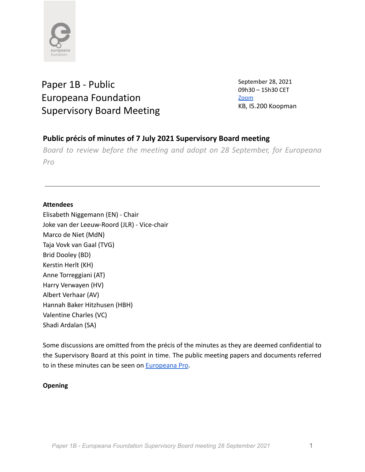

# Paper 1B - Public Europeana Foundation Supervisory Board Meeting

September 28, 2021 09h30 – 15h30 CET [Zoom](https://zoom.us/j/96811057501) KB, I5.200 Koopman

# **Public précis of minutes of 7 July 2021 Supervisory Board meeting**

*Board to review before the meeting and adopt on 28 September, for Europeana Pro*

# **Attendees**

Elisabeth Niggemann (EN) - Chair Joke van der Leeuw-Roord (JLR) - Vice-chair Marco de Niet (MdN) Taja Vovk van Gaal (TVG) Brid Dooley (BD) Kerstin Herlt (KH) Anne Torreggiani (AT) Harry Verwayen (HV) Albert Verhaar (AV) Hannah Baker Hitzhusen (HBH) Valentine Charles (VC) Shadi Ardalan (SA)

Some discussions are omitted from the précis of the minutes as they are deemed confidential to the Supervisory Board at this point in time. The public meeting papers and documents referred to in these minutes can be seen on [Europeana Pro](https://pro.europeana.eu/about-us/foundation).

### **Opening**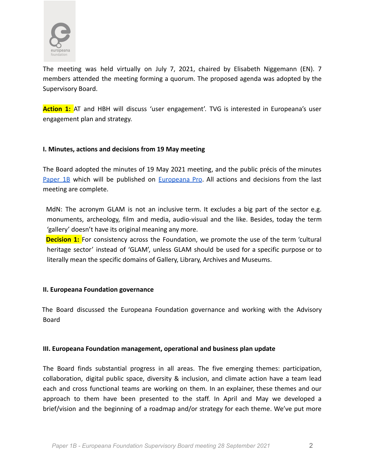

The meeting was held virtually on July 7, 2021, chaired by Elisabeth Niggemann (EN). 7 members attended the meeting forming a quorum. The proposed agenda was adopted by the Supervisory Board.

**Action 1:** AT and HBH will discuss 'user engagement'. TVG is interested in Europeana's user engagement plan and strategy.

#### **I. Minutes, actions and decisions from 19 May meeting**

The Board adopted the minutes of 19 May 2021 meeting, and the public précis of the minutes [Paper](https://docs.google.com/document/d/109NzxAiP9iVhfiEi4zyQ3NRtMN57IpVKze7ic-TMBC4/edit) 1B which will be published on [Europeana](https://pro.europeana.eu/about-us/foundation) Pro. All actions and decisions from the last meeting are complete.

MdN: The acronym GLAM is not an inclusive term. It excludes a big part of the sector e.g. monuments, archeology, film and media, audio-visual and the like. Besides, today the term 'gallery' doesn't have its original meaning any more.

**Decision 1:** For consistency across the Foundation, we promote the use of the term 'cultural heritage sector' instead of 'GLAM', unless GLAM should be used for a specific purpose or to literally mean the specific domains of Gallery, Library, Archives and Museums.

#### **II. Europeana Foundation governance**

The Board discussed the Europeana Foundation governance and working with the Advisory Board

#### **III. Europeana Foundation management, operational and business plan update**

The Board finds substantial progress in all areas. The five emerging themes: participation, collaboration, digital public space, diversity & inclusion, and climate action have a team lead each and cross functional teams are working on them. In an explainer, these themes and our approach to them have been presented to the staff. In April and May we developed a brief/vision and the beginning of a roadmap and/or strategy for each theme. We've put more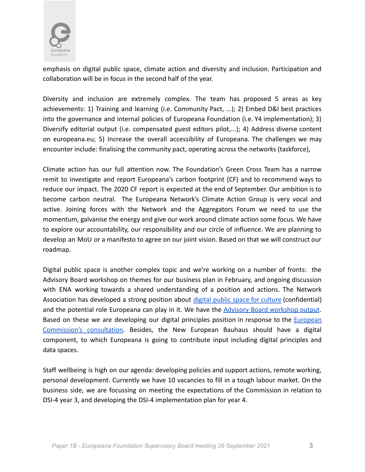

emphasis on digital public space, climate action and diversity and inclusion. Participation and collaboration will be in focus in the second half of the year.

Diversity and inclusion are extremely complex. The team has proposed 5 areas as key achievements: 1) Training and learning (i.e. Community Pact, ...); 2) Embed D&I best practices into the governance and internal policies of Europeana Foundation (i.e. Y4 implementation); 3) Diversify editorial output (i.e. compensated guest editors pilot,...); 4) Address diverse content on europeana.eu; 5) Increase the overall accessibility of Europeana. The challenges we may encounter include: finalising the community pact, operating across the networks (taskforce),

Climate action has our full attention now. The Foundation's Green Cross Team has a narrow remit to investigate and report Europeana's carbon footprint (CF) and to recommend ways to reduce our impact. The 2020 CF report is expected at the end of September. Our ambition is to become carbon neutral. The Europeana Network's Climate Action Group is very vocal and active. Joining forces with the Network and the Aggregators Forum we need to use the momentum, galvanise the energy and give our work around climate action some focus. We have to explore our accountability, our responsibility and our circle of influence. We are planning to develop an MoU or a manifesto to agree on our joint vision. Based on that we will construct our roadmap.

Digital public space is another complex topic and we're working on a number of fronts: the Advisory Board workshop on themes for our business plan in February, and ongoing discussion with ENA working towards a shared understanding of a position and actions. The Network Association has developed a strong position about digital public space for [culture](https://docs.google.com/document/d/1YMDHvGNnzqK7FfBeHWeX4QQTxlErEygEjJItVcoaigk/edit) (confidential) and the potential role Europeana can play in it. We have the Advisory Board [workshop](https://docs.google.com/document/d/1HSkm3ZX8z6gh2yHbpC21V23KIyu6OYos6yxvS3d53lU/edit#heading=h.v2elfojbyv2d) output. Based on these we are developing our digital principles position in response to the *[European](https://digital-strategy.ec.europa.eu/en/consultations/public-consultation-set-european-digital-principles)* [Commission's](https://digital-strategy.ec.europa.eu/en/consultations/public-consultation-set-european-digital-principles) consultation. Besides, the New European Bauhaus should have a digital component, to which Europeana is going to contribute input including digital principles and data spaces.

Staff wellbeing is high on our agenda: developing policies and support actions, remote working, personal development. Currently we have 10 vacancies to fill in a tough labour market. On the business side, we are focussing on meeting the expectations of the Commission in relation to DSI-4 year 3, and developing the DSI-4 implementation plan for year 4.